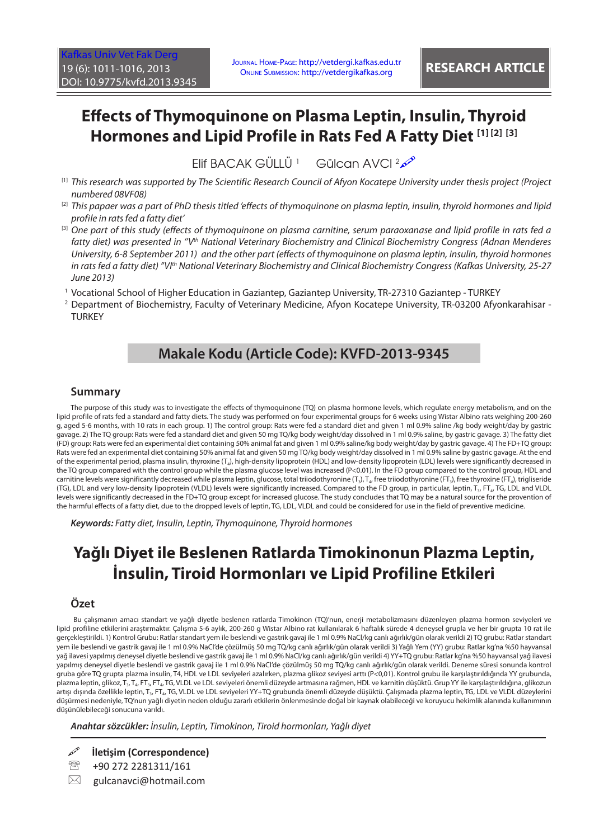# **Effects of Thymoquinone on Plasma Leptin, Insulin, Thyroid Hormones and Lipid Profile in Rats Fed A Fatty Diet [1] [2] [3]**

Elif BACAK GÜLLÜ<sup>1</sup> Gülcan AVCI<sup>2</sup>

- $^{\text{\tiny{[1]}}}$  This research was supported by The Scientific Research Council of Afyon Kocatepe University under thesis project (Project *numbered 08VF08)*
- <sup>[2]</sup> This papaer was a part of PhD thesis titled ′effects of thymoquinone on plasma leptin, insulin, thyroid hormones and lipid *profile in rats fed a fatty diet'*
- <sup>[3]</sup> One part of this study (effects of thymoquinone on plasma carnitine, serum paraoxanase and lipid profile in rats fed a *fatty diet) was presented in ''Vth National Veterinary Biochemistry and Clinical Biochemistry Congress (Adnan Menderes University, 6-8 September 2011) and the other part (effects of thymoquinone on plasma leptin, insulin, thyroid hormones in rats fed a fatty diet) ''VIth National Veterinary Biochemistry and Clinical Biochemistry Congress (Kafkas University, 25-27 June 2013)*
- 1 Vocational School of Higher Education in Gaziantep, Gaziantep University, TR-27310 Gaziantep TURKEY
- 2 Department of Biochemistry, Faculty of Veterinary Medicine, Afyon Kocatepe University, TR-03200 Afyonkarahisar **TURKEY**

# **Makale Kodu (Article Code): KVFD-2013-9345**

## **Summary**

The purpose of this study was to investigate the effects of thymoquinone (TQ) on plasma hormone levels, which regulate energy metabolism, and on the lipid profile of rats fed a standard and fatty diets. The study was performed on four experimental groups for 6 weeks using Wistar Albino rats weighing 200-260 g, aged 5-6 months, with 10 rats in each group. 1) The control group: Rats were fed a standard diet and given 1 ml 0.9% saline /kg body weight/day by gastric gavage. 2) The TQ group: Rats were fed a standard diet and given 50 mg TQ/kg body weight/day dissolved in 1 ml 0.9% saline, by gastric gavage. 3) The fatty diet (FD) group: Rats were fed an experimental diet containing 50% animal fat and given 1 ml 0.9% saline/kg body weight/day by gastric gavage. 4) The FD+TQ group: Rats were fed an experimental diet containing 50% animal fat and given 50 mg TQ/kg body weight/day dissolved in 1 ml 0.9% saline by gastric gavage. At the end of the experimental period, plasma insulin, thyroxine (T<sub>4</sub>), high-density lipoprotein (HDL) and low-density lipoprotein (LDL) levels were significantly decreased in the TQ group compared with the control group while the plasma glucose level was increased (P<0.01). In the FD group compared to the control group, HDL and carnitine levels were significantly decreased while plasma leptin, glucose, total triiodothyronine (T<sub>3</sub>), T<sub>4</sub>, free triiodothyronine (FT<sub>3</sub>), tree thyroxine (FT<sub>4</sub>), trigliseride (TG), LDL and very low-density lipoprotein (VLDL) levels were significantly increased. Compared to the FD group, in particular, leptin, T<sub>3</sub>, FT<sub>4</sub>, TG, LDL and VLDL levels were significantly decreased in the FD+TQ group except for increased glucose. The study concludes that TQ may be a natural source for the provention of the harmful effects of a fatty diet, due to the dropped levels of leptin, TG, LDL, VLDL and could be considered for use in the field of preventive medicine.

*Keywords: Fatty diet, Insulin, Leptin, Thymoquinone, Thyroid hormones*

# **Yağlı Diyet ile Beslenen Ratlarda Timokinonun Plazma Leptin, İnsulin, Tiroid Hormonları ve Lipid Profiline Etkileri**

## **Özet**

Bu çalışmanın amacı standart ve yağlı diyetle beslenen ratlarda Timokinon (TQ)'nun, enerji metabolizmasını düzenleyen plazma hormon seviyeleri ve lipid profiline etkilerini araştırmaktır. Çalışma 5-6 aylık, 200-260 g Wistar Albino rat kullanılarak 6 haftalık sürede 4 deneysel grupla ve her bir grupta 10 rat ile gerçekleştirildi. 1) Kontrol Grubu: Ratlar standart yem ile beslendi ve gastrik gavaj ile 1 ml 0.9% NaCl/kg canlı ağırlık/gün olarak verildi 2) TQ grubu: Ratlar standart yem ile beslendi ve gastrik gavaj ile 1 ml 0.9% NaCl'de çözülmüş 50 mg TQ/kg canlı ağırlık/gün olarak verildi 3) Yağlı Yem (YY) grubu: Ratlar kg'na %50 hayvansal yağ ilavesi yapılmış deneysel diyetle beslendi ve gastrik gavaj ile 1 ml 0.9% NaCl/kg canlı ağırlık/gün verildi 4) YY+TQ grubu: Ratlar kg'na %50 hayvansal yağ ilavesi yapılmış deneysel diyetle beslendi ve gastrik gavaj ile 1 ml 0.9% NaCl'de çözülmüş 50 mg TQ/kg canlı ağırlık/gün olarak verildi. Deneme süresi sonunda kontrol gruba göre TQ grupta plazma insulin, T4, HDL ve LDL seviyeleri azalırken, plazma glikoz seviyesi arttı (P<0,01). Kontrol grubu ile karşılaştırıldığında YY grubunda, plazma leptin, glikoz, T<sub>4</sub>, T<sub>4</sub>, FT<sub>4</sub>, FT<sub>4</sub>, TG, VLDL ve LDL seviyeleri önemli düzeyde artmasına rağmen, HDL ve karnitin düşüktü. Grup YY ile karşılaştırıldığına, glikozun artışı dışında özellikle leptin, T<sub>3</sub>, FT<sub>4</sub>, TG, VLDL ve LDL seviyeleri YY+TQ grubunda önemli düzeyde düşüktü. Çalışmada plazma leptin, TG, LDL ve VLDL düzeylerini düşürmesi nedeniyle, TQ'nun yağlı diyetin neden olduğu zararlı etkilerin önlenmesinde doğal bir kaynak olabileceği ve koruyucu hekimlik alanında kullanımının düşünülebileceği sonucuna varıldı.

*Anahtar sözcükler: İnsulin, Leptin, Timokinon, Tiroid hormonları, Yağlı diyet*

**İletişim (Correspondence)**

- <sup>2</sup> +90 272 2281311/161
- $\boxtimes$  gulcanavci@hotmail.com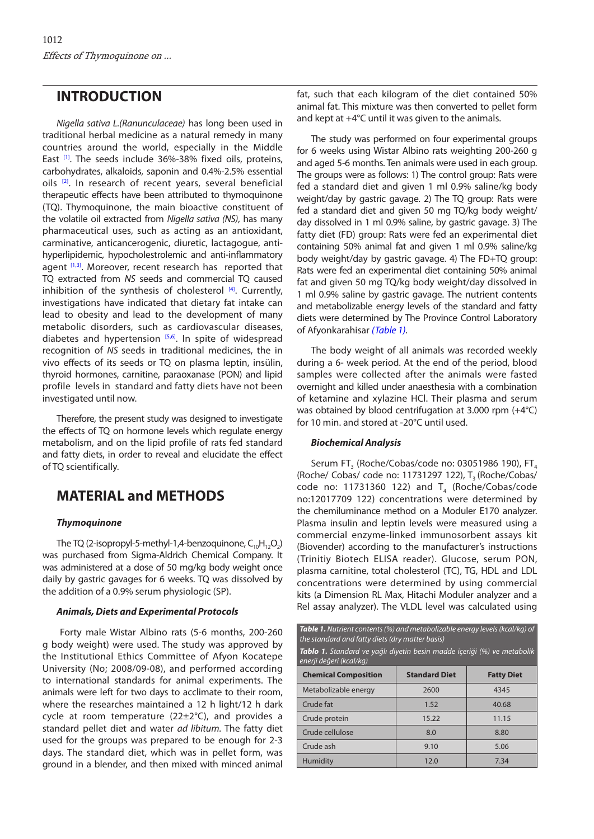## <span id="page-1-0"></span>**INTRODUCTION**

*Nigella sativa L.(Ranunculaceae)* has long been used in traditional herbal medicine as a natural remedy in many countries around the world, especially in the Middle East<sup>[1]</sup>. The seeds include 36%-38% fixed oils, proteins, carbohydrates, alkaloids, saponin and 0.4%-2.5% essential oils [[2\].](#page-5-0) In research of recent years, several beneficial therapeutic effects have been attributed to thymoquinone (TQ). Thymoquinone, the main bioactive constituent of the volatile oil extracted from *Nigella sativa (NS)*, has many pharmaceutical uses, such as acting as an antioxidant, carminative, anticancerogenic, diuretic, lactagogue, antihyperlipidemic, hypocholestrolemic and anti-inflammatory agent [\[1,3\]](#page-5-0). Moreover, recent research has reported that TQ extracted from *NS* seeds and commercial TQ caused inhibition of the synthesis of cholesterol  $[4]$ . Currently, investigations have indicated that dietary fat intake can lead to obesity and lead to the development of many metabolic disorders, such as cardiovascular diseases, diabetes and hypertension  $[5,6]$ . In spite of widespread recognition of *NS* seeds in traditional medicines, the in vivo effects of its seeds or TQ on plasma leptin, insülin, thyroid hormones, carnitine, paraoxanase (PON) and lipid profile levels in standard and fatty diets have not been investigated until now.

Therefore, the present study was designed to investigate the effects of TQ on hormone levels which regulate energy metabolism, and on the lipid profile of rats fed standard and fatty diets, in order to reveal and elucidate the effect of TQ scientifically.

# **MATERIAL and METHODS**

### *Thymoquinone*

The TQ (2-isopropyl-5-methyl-1,4-benzoquinone,  $C_{10}H_{12}O_2$ ) was purchased from Sigma-Aldrich Chemical Company. It was administered at a dose of 50 mg/kg body weight once daily by gastric gavages for 6 weeks. TQ was dissolved by the addition of a 0.9% serum physiologic (SP).

### *Animals, Diets and Experimental Protocols*

Forty male Wistar Albino rats (5-6 months, 200-260 g body weight) were used. The study was approved by the Institutional Ethics Committee of Afyon Kocatepe University (No; 2008/09-08), and performed according to international standards for animal experiments. The animals were left for two days to acclimate to their room, where the researches maintained a 12 h light/12 h dark cycle at room temperature (22±2°C), and provides a standard pellet diet and water *ad libitum.* The fatty diet used for the groups was prepared to be enough for 2-3 days. The standard diet, which was in pellet form, was ground in a blender, and then mixed with minced animal

fat, such that each kilogram of the diet contained 50% animal fat. This mixture was then converted to pellet form and kept at +4°C until it was given to the animals.

The study was performed on four experimental groups for 6 weeks using Wistar Albino rats weighting 200-260 g and aged 5-6 months. Ten animals were used in each group. The groups were as follows: 1) The control group: Rats were fed a standard diet and given 1 ml 0.9% saline/kg body weight/day by gastric gavage. 2) The TO group: Rats were fed a standard diet and given 50 mg TQ/kg body weight/ day dissolved in 1 ml 0.9% saline, by gastric gavage. 3) The fatty diet (FD) group: Rats were fed an experimental diet containing 50% animal fat and given 1 ml 0.9% saline/kg body weight/day by gastric gavage. 4) The FD+TQ group: Rats were fed an experimental diet containing 50% animal fat and given 50 mg TQ/kg body weight/day dissolved in 1 ml 0.9% saline by gastric gavage. The nutrient contents and metabolizable energy levels of the standard and fatty diets were determined by The Province Control Laboratory of Afyonkarahisar *(Table 1).*

The body weight of all animals was recorded weekly during a 6- week period. At the end of the period, blood samples were collected after the animals were fasted overnight and killed under anaesthesia with a combination of ketamine and xylazine HCl. Their plasma and serum was obtained by blood centrifugation at 3.000 rpm (+4°C) for 10 min. and stored at -20°C until used.

### *Biochemical Analysis*

Serum FT<sub>3</sub> (Roche/Cobas/code no: 03051986 190), FT<sub>4</sub> (Roche/ Cobas/ code no: 11731297 122),  $T_3$  (Roche/Cobas/ code no: 11731360 122) and  $T_4$  (Roche/Cobas/code no:12017709 122) concentrations were determined by the chemiluminance method on a Moduler E170 analyzer. Plasma insulin and leptin levels were measured using a commercial enzyme-linked immunosorbent assays kit (Biovender) according to the manufacturer's instructions (Trinitiy Biotech ELISA reader). Glucose, serum PON, plasma carnitine, total cholesterol (TC), TG, HDL and LDL concentrations were determined by using commercial kits (a Dimension RL Max, Hitachi Moduler analyzer and a Rel assay analyzer). The VLDL level was calculated using

| <b>Table 1.</b> Nutrient contents (%) and metabolizable energy levels (kcal/kg) of<br>the standard and fatty diets (dry matter basis) |                      |                   |  |  |  |  |
|---------------------------------------------------------------------------------------------------------------------------------------|----------------------|-------------------|--|--|--|--|
| <b>Tablo 1.</b> Standard ve yağlı diyetin besin madde içeriği (%) ve metabolik<br>enerji değeri (kcal/kg)                             |                      |                   |  |  |  |  |
| <b>Chemical Composition</b>                                                                                                           | <b>Standard Diet</b> | <b>Fatty Diet</b> |  |  |  |  |
| Metabolizable energy                                                                                                                  | 2600                 | 4345              |  |  |  |  |
| Crude fat                                                                                                                             | 1.52                 | 40.68             |  |  |  |  |
| Crude protein                                                                                                                         | 15.22                | 11.15             |  |  |  |  |
| Crude cellulose                                                                                                                       | 8.0                  | 8.80              |  |  |  |  |
| Crude ash                                                                                                                             | 9.10                 | 5.06              |  |  |  |  |
| Humidity                                                                                                                              | 12.0                 | 7.34              |  |  |  |  |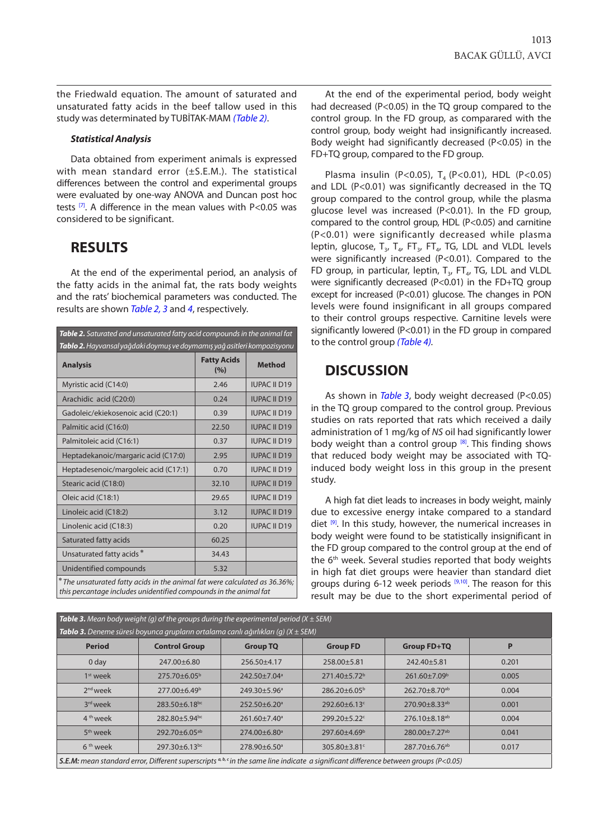the Friedwald equation. The amount of saturated and unsaturated fatty acids in the beef tallow used in this study was determinated by TUBİTAK-MAM *(Table 2)*.

#### *Statistical Analysis*

Data obtained from experiment animals is expressed with mean standard error (±S.E.M.). The statistical differences between the control and experimental groups were evaluated by one-way ANOVA and Duncan post hoc tests  $[7]$ . A difference in the mean values with P<0.05 was considered to be significant.

## **RESULTS**

At the end of the experimental period, an analysis of the fatty acids in the animal fat, the rats body weights and the rats' biochemical parameters was conducted. The results are shown *Table 2, 3* and *[4](#page-3-0)*, respectively.

| Table 2. Saturated and unsaturated fatty acid compounds in the animal fat<br>Tablo 2. Hayvansal yağdaki doymuş ve doymamış yağ asitleri kompozisyonu |                           |                     |  |  |  |
|------------------------------------------------------------------------------------------------------------------------------------------------------|---------------------------|---------------------|--|--|--|
| <b>Analysis</b>                                                                                                                                      | <b>Fatty Acids</b><br>(%) | <b>Method</b>       |  |  |  |
| Myristic acid (C14:0)                                                                                                                                | 2.46                      | <b>IUPAC II D19</b> |  |  |  |
| Arachidic acid (C20:0)                                                                                                                               | 0.24                      | <b>IUPAC II D19</b> |  |  |  |
| Gadoleic/ekiekosenoic acid (C20:1)                                                                                                                   | 0.39                      | <b>IUPAC II D19</b> |  |  |  |
| Palmitic acid (C16:0)                                                                                                                                | 22.50                     | <b>IUPAC II D19</b> |  |  |  |
| Palmitoleic acid (C16:1)                                                                                                                             | 0.37                      | <b>IUPAC II D19</b> |  |  |  |
| Heptadekanoic/margaric acid (C17:0)                                                                                                                  | 2.95                      | <b>IUPAC II D19</b> |  |  |  |
| Heptadesenoic/margoleic acid (C17:1)                                                                                                                 | 0.70                      | <b>IUPAC II D19</b> |  |  |  |
| Stearic acid (C18:0)                                                                                                                                 | 32.10                     | <b>IUPAC II D19</b> |  |  |  |
| Oleic acid (C18:1)                                                                                                                                   | 29.65                     | <b>IUPAC II D19</b> |  |  |  |
| Linoleic acid (C18:2)                                                                                                                                | 3.12                      | <b>IUPAC II D19</b> |  |  |  |
| Linolenic acid (C18:3)                                                                                                                               | 0.20                      | <b>IUPAC II D19</b> |  |  |  |
| Saturated fatty acids                                                                                                                                | 60.25                     |                     |  |  |  |
| Unsaturated fatty acids*                                                                                                                             | 34.43                     |                     |  |  |  |
| Unidentified compounds                                                                                                                               | 5.32                      |                     |  |  |  |
| * The unsaturated fatty acids in the animal fat were calculated as 36.36%;<br>this percantage includes unidentified compounds in the animal fat      |                           |                     |  |  |  |

At the end of the experimental period, body weight had decreased (P<0.05) in the TQ group compared to the control group. In the FD group, as comparared with the control group, body weight had insignificantly increased. Body weight had significantly decreased (P<0.05) in the FD+TQ group, compared to the FD group.

Plasma insulin (P<0.05),  $T_4$  (P<0.01), HDL (P<0.05) and LDL (P<0.01) was significantly decreased in the TQ group compared to the control group, while the plasma glucose level was increased (P<0.01). In the FD group, compared to the control group, HDL (P<0.05) and carnitine (P<0.01) were significantly decreased while plasma leptin, glucose,  $T_{3}$ ,  $T_{4}$ ,  $FT_{3}$ ,  $FT_{4}$ , TG, LDL and VLDL levels were significantly increased (P<0.01). Compared to the FD group, in particular, leptin,  $T_{3}$ , FT<sub>4</sub>, TG, LDL and VLDL were significantly decreased (P<0.01) in the FD+TO group except for increased (P<0.01) glucose. The changes in PON levels were found insignificant in all groups compared to their control groups respective. Carnitine levels were significantly lowered (P<0.01) in the FD group in compared to the control group *([Table 4\).](#page-3-0)*

## **DISCUSSION**

As shown in *Table 3*, body weight decreased (P<0.05) in the TQ group compared to the control group. Previous studies on rats reported that rats which received a daily administration of 1 mg/kg of *NS* oil had significantly lower body weight than a control group  $[8]$ . This finding shows that reduced body weight may be associated with TQinduced body weight loss in this group in the present study.

A high fat diet leads to increases in body weight, mainly due to excessive energy intake compared to a standard diet  $[9]$ . In this study, however, the numerical increases in body weight were found to be statistically insignificant in the FD group compared to the control group at the end of the 6<sup>th</sup> week. Several studies reported that body weights in high fat diet groups were heavier than standard diet groups during 6-12 week periods  $[9,10]$ . The reason for this result may be due to the short experimental period of

| <b>Table 3.</b> Mean body weight (g) of the groups during the experimental period ( $X \pm SEM$ )                                              |                      |                                |                                |                                 |       |  |  |
|------------------------------------------------------------------------------------------------------------------------------------------------|----------------------|--------------------------------|--------------------------------|---------------------------------|-------|--|--|
| <b>Tablo 3.</b> Deneme süresi boyunca grupların ortalama canlı ağırlıkları (q) ( $X \pm SEM$ )                                                 |                      |                                |                                |                                 |       |  |  |
| <b>Period</b>                                                                                                                                  | <b>Control Group</b> | <b>Group TQ</b>                | <b>Group FD</b>                | <b>Group FD+TQ</b>              | P     |  |  |
| 0 day                                                                                                                                          | $247.00 + 6.80$      | $256.50 + 4.17$                | $258.00 + 5.81$                | $242.40 + 5.81$                 | 0.201 |  |  |
| $1st$ week                                                                                                                                     | $275.70 + 6.05^b$    | 242.50±7.04 <sup>a</sup>       | $271.40 \pm 5.72$ <sup>b</sup> | $261.60 \pm 7.09^{\circ}$       | 0.005 |  |  |
| $2nd$ week                                                                                                                                     | $277.00 + 6.49^b$    | $249.30 + 5.96^a$              | $286.20 + 6.05^b$              | 262.70±8.70 <sup>ab</sup>       | 0.004 |  |  |
| 3rd week                                                                                                                                       | 283.50±6.18bc        | 252.50±6.20 <sup>a</sup>       | 292.60±6.13c                   | 270.90±8.33 <sup>ab</sup>       | 0.001 |  |  |
| 4 <sup>th</sup> week                                                                                                                           | 282.80±5.94bc        | $261.60 \pm 7.40$ <sup>a</sup> | 299.20±5.22°                   | 276.10±8.18 <sup>ab</sup>       | 0.004 |  |  |
| 5 <sup>th</sup> week                                                                                                                           | 292.70+6.05ab        | $274.00 + 6.80$ <sup>a</sup>   | $297.60 + 4.69^b$              | $280.00 \pm 7.27$ <sup>ab</sup> | 0.041 |  |  |
| 6 <sup>th</sup> week                                                                                                                           | 297.30±6.13bc        | 278.90±6.50 <sup>a</sup>       | 305.80±3.81c                   | 287.70±6.76 <sup>ab</sup>       | 0.017 |  |  |
| <b>S.E.M:</b> mean standard error, Different superscripts $a, b, c$ in the same line indicate a significant difference between groups (P<0.05) |                      |                                |                                |                                 |       |  |  |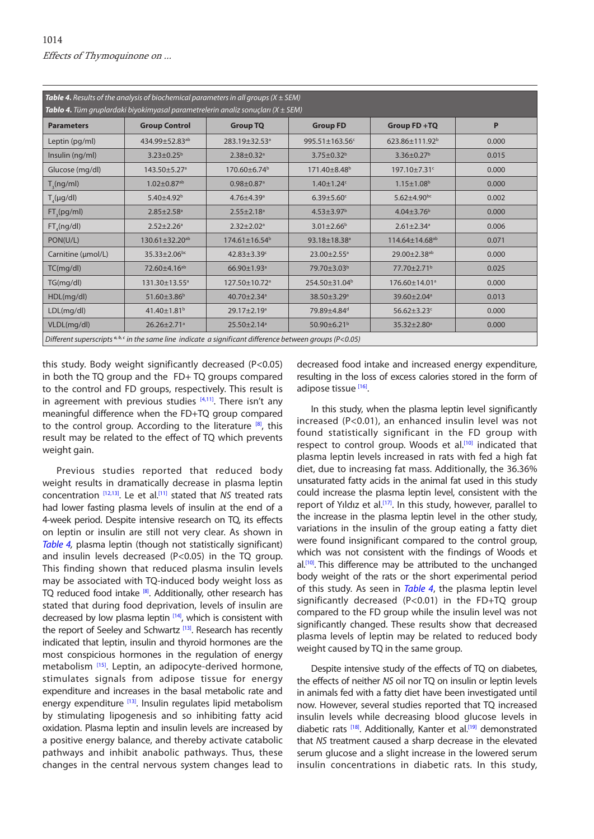<span id="page-3-0"></span>

| <b>Table 4.</b> Results of the analysis of biochemical parameters in all groups ( $X \pm SEM$ )                   |                               |                               |                               |                               |       |  |  |
|-------------------------------------------------------------------------------------------------------------------|-------------------------------|-------------------------------|-------------------------------|-------------------------------|-------|--|--|
| <b>Tablo 4.</b> Tüm gruplardaki biyokimyasal parametrelerin analiz sonuçları ( $X \pm SEM$ )                      |                               |                               |                               |                               |       |  |  |
| <b>Parameters</b>                                                                                                 | <b>Group Control</b>          | <b>Group TQ</b>               | <b>Group FD</b>               | Group FD+TQ                   | P     |  |  |
| Leptin (pg/ml)                                                                                                    | 434.99±52.83 <sup>ab</sup>    | 283.19±32.53 <sup>a</sup>     | 995.51±163.56c                | 623.86±111.92 <sup>b</sup>    | 0.000 |  |  |
| Insulin (ng/ml)                                                                                                   | $3.23 \pm 0.25^{\circ}$       | $2.38 + 0.32$ <sup>a</sup>    | $3.75 \pm 0.32^b$             | $3.36 \pm 0.27^b$             | 0.015 |  |  |
| Glucose (mg/dl)                                                                                                   | 143.50±5.27 <sup>a</sup>      | 170.60±6.74 <sup>b</sup>      | 171.40±8.48 <sup>b</sup>      | 197.10±7.31c                  | 0.000 |  |  |
| $T_s(ng/ml)$                                                                                                      | $1.02 \pm 0.87$ <sup>ab</sup> | $0.98 \pm 0.87$ <sup>a</sup>  | $1.40 \pm 1.24$ c             | $1.15 \pm 1.08^b$             | 0.000 |  |  |
| $T_a(\mu g/dl)$                                                                                                   | $5.40 + 4.92^b$               | $4.76 + 4.39$ <sup>a</sup>    | $6.39 \pm 5.60$ <sup>c</sup>  | $5.62 \pm 4.90$ <sub>bc</sub> | 0.002 |  |  |
| $FT_{s}(pg/ml)$                                                                                                   | $2.85 \pm 2.58$ <sup>a</sup>  | $2.55 \pm 2.18$ <sup>a</sup>  | $4.53 \pm 3.97$ <sup>b</sup>  | $4.04 \pm 3.76^b$             | 0.000 |  |  |
| FT(ng/d)                                                                                                          | $2.52 \pm 2.26$ <sup>a</sup>  | $2.32 \pm 2.02$ <sup>a</sup>  | $3.01 \pm 2.66^b$             | $2.61 \pm 2.34$ <sup>a</sup>  | 0.006 |  |  |
| PON(U/L)                                                                                                          | 130.61±32.20 <sup>ab</sup>    | $174.61 \pm 16.54^b$          | 93.18±18.38 <sup>a</sup>      | 114.64±14.68 <sup>ab</sup>    | 0.071 |  |  |
| Carnitine (µmol/L)                                                                                                | $35.33 \pm 2.06^{bc}$         | 42.83 $\pm$ 3.39 $\text{°}$   | 23.00±2.55 <sup>a</sup>       | 29.00±2.38 <sup>ab</sup>      | 0.000 |  |  |
| TC(mq/d)                                                                                                          | 72.60±4.16 <sup>ab</sup>      | $66.90 \pm 1.93$ <sup>a</sup> | 79.70±3.03 <sup>b</sup>       | 77.70±2.71 <sup>b</sup>       | 0.025 |  |  |
| TG(mq/dl)                                                                                                         | 131.30±13.55 <sup>a</sup>     | 127.50±10.72 <sup>a</sup>     | 254.50±31.04 <sup>b</sup>     | 176.60±14.01 <sup>a</sup>     | 0.000 |  |  |
| HDL(mg/dl)                                                                                                        | $51.60 \pm 3.86^b$            | 40.70 $\pm$ 2.34 $a$          | 38.50±3.29 <sup>a</sup>       | 39.60±2.04 <sup>a</sup>       | 0.013 |  |  |
| LDL(mg/dl)                                                                                                        | 41.40±1.81 <sup>b</sup>       | 29.17±2.19 <sup>a</sup>       | 79.89±4.84 <sup>d</sup>       | $56.62 \pm 3.23$ c            | 0.000 |  |  |
| VLDL(mg/dl)                                                                                                       | $26.26 \pm 2.71$ <sup>a</sup> | $25.50 \pm 2.14$ <sup>a</sup> | 50.90 $\pm$ 6.21 <sup>b</sup> | 35.32±2.80 <sup>a</sup>       | 0.000 |  |  |
| Different superscripts $a, b, c$ in the same line indicate a significant difference between groups ( $P < 0.05$ ) |                               |                               |                               |                               |       |  |  |

this study. Body weight significantly decreased (P<0.05) in both the TQ group and the FD+ TQ groups compared to the control and FD groups, respectively. This result is in agreement with previous studies  $[4,11]$ . There isn't any meaningful difference when the FD+TQ group compared to the control group. According to the literature  $[8]$ , this result may be related to the effect of TQ which prevents weight gain.

Previous studies reported that reduced body weight results in dramatically decrease in plasma leptin concentration [[12,13\].](#page-5-0) Le et al.[\[11\]](#page-5-0) stated that *NS* treated rats had lower fasting plasma levels of insulin at the end of a 4-week period. Despite intensive research on TQ, its effects on leptin or insulin are still not very clear. As shown in *Table 4,* plasma leptin (though not statistically significant) and insulin levels decreased (P<0.05) in the TO group. This finding shown that reduced plasma insulin levels may be associated with TQ-induced body weight loss as TQ reduced food intake [[8\].](#page-5-0) Additionally, other research has stated that during food deprivation, levels of insulin are decreased by low plasma leptin  $[14]$ , which is consistent with the report of Seeley and Schwartz [[13\].](#page-5-0) Research has recently indicated that leptin, insulin and thyroid hormones are the most conspicious hormones in the regulation of energy metabolism [[15\].](#page-5-0) Leptin, an adipocyte-derived hormone, stimulates signals from adipose tissue for energy expenditure and increases in the basal metabolic rate and energy expenditure [\[13\].](#page-5-0) Insulin regulates lipid metabolism by stimulating lipogenesis and so inhibiting fatty acid oxidation. Plasma leptin and insulin levels are increased by a positive energy balance, and thereby activate catabolic pathways and inhibit anabolic pathways. Thus, these changes in the central nervous system changes lead to

decreased food intake and increased energy expenditure, resulting in the loss of excess calories stored in the form of adipose tissue [[16\].](#page-5-0)

In this study, when the plasma leptin level significantly increased (P<0.01), an enhanced insulin level was not found statistically significant in the FD group with respect to control group. Woods et al.<sup>[[10\]](#page-5-0)</sup> indicated that plasma leptin levels increased in rats with fed a high fat diet, due to increasing fat mass. Additionally, the 36.36% unsaturated fatty acids in the animal fat used in this study could increase the plasma leptin level, consistent with the report of Yıldız et al.<sup>[17]</sup>. In this study, however, parallel to the increase in the plasma leptin level in the other study, variations in the insulin of the group eating a fatty diet were found insignificant compared to the control group, which was not consistent with the findings of Woods et  $al<sup>[10]</sup>$ . This difference may be attributed to the unchanged body weight of the rats or the short experimental period of this study. As seen in *Table 4*, the plasma leptin level significantly decreased (P<0.01) in the FD+TQ group compared to the FD group while the insulin level was not significantly changed. These results show that decreased plasma levels of leptin may be related to reduced body weight caused by TQ in the same group.

Despite intensive study of the effects of TQ on diabetes, the effects of neither *NS* oil nor TQ on insulin or leptin levels in animals fed with a fatty diet have been investigated until now. However, several studies reported that TQ increased insulin levels while decreasing blood glucose levels in diabetic rats <sup>[18]</sup>. Additionally, Kanter et al.<sup>[19]</sup> demonstrated that *NS* treatment caused a sharp decrease in the elevated serum glucose and a slight increase in the lowered serum insulin concentrations in diabetic rats. In this study,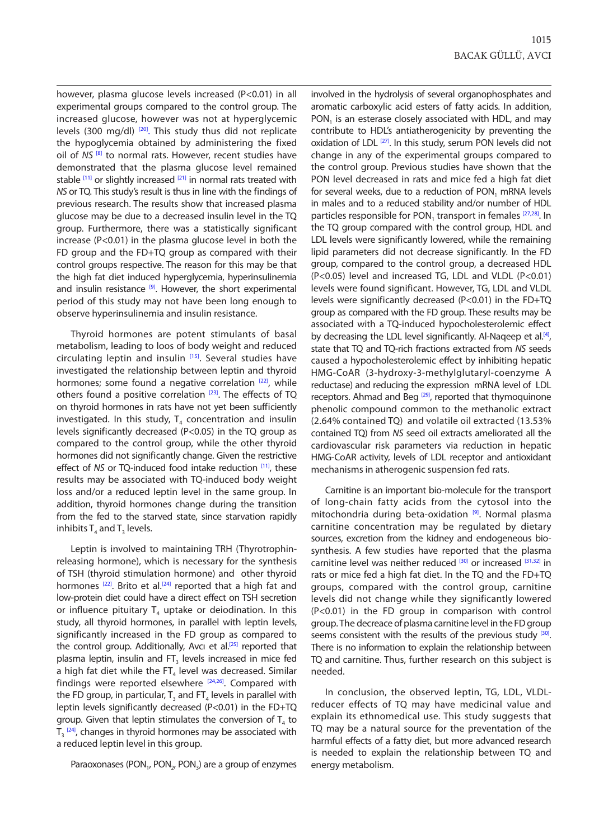however, plasma glucose levels increased (P<0.01) in all experimental groups compared to the control group. The increased glucose, however was not at hyperglycemic levels (300 mg/dl)<sup>[20]</sup>. This study thus did not replicate the hypoglycemia obtained by administering the fixed oil of *NS*<sup>[8]</sup> to normal rats. However, recent studies have demonstrated that the plasma glucose level remained stable  $[11]$  $[11]$  or slightly increased  $[21]$  in normal rats treated with *NS* or TQ. This study's result is thus in line with the findings of previous research. The results show that increased plasma glucose may be due to a decreased insulin level in the TQ group. Furthermore, there was a statistically significant increase (P<0.01) in the plasma glucose level in both the FD group and the FD+TQ group as compared with their control groups respective. The reason for this may be that the high fat diet induced hyperglycemia, hyperinsulinemia and insulin resistance  $[9]$ . However, the short experimental period of this study may not have been long enough to observe hyperinsulinemia and insulin resistance.

Thyroid hormones are potent stimulants of basal metabolism, leading to loos of body weight and reduced circulating leptin and insulin [[15\].](#page-5-0) Several studies have investigated the relationship between leptin and thyroid hormones; some found a negative correlation  $[22]$ , while others found a positive correlation [\[23\].](#page-5-0) The effects of TQ on thyroid hormones in rats have not yet been sufficiently investigated. In this study,  $T_4$  concentration and insulin levels significantly decreased (P<0.05) in the TQ group as compared to the control group, while the other thyroid hormones did not significantly change. Given the restrictive effect of *NS* or TQ-induced food intake reduction [\[11\],](#page-5-0) these results may be associated with TQ-induced body weight loss and/or a reduced leptin level in the same group. In addition, thyroid hormones change during the transition from the fed to the starved state, since starvation rapidly inhibits  $T_4$  and  $T_3$  levels.

Leptin is involved to maintaining TRH (Thyrotrophinreleasing hormone), which is necessary for the synthesis of TSH (thyroid stimulation hormone) and other thyroid hormones  $[22]$ . Brito et al.<sup>[24]</sup> reported that a high fat and low-protein diet could have a direct effect on TSH secretion or influence pituitary  $T_4$  uptake or deiodination. In this study, all thyroid hormones, in parallel with leptin levels, significantly increased in the FD group as compared to the control group. Additionally, Avcı et al.<sup>[25]</sup> reported that plasma leptin, insulin and  $FT_3$  levels increased in mice fed a high fat diet while the FT<sub>4</sub> level was decreased. Similar findings were reported elsewhere [\[24,26\].](#page-5-0) Compared with the FD group, in particular,  $T<sub>3</sub>$  and FT<sub>4</sub> levels in parallel with leptin levels significantly decreased (P<0.01) in the FD+TQ group. Given that leptin stimulates the conversion of  $T<sub>4</sub>$  to  $T_3$   $^{[24]}$  $^{[24]}$  $^{[24]}$ , changes in thyroid hormones may be associated with a reduced leptin level in this group.

Paraoxonases (PON<sub>1</sub>, PON<sub>2</sub>, PON<sub>3</sub>) are a group of enzymes

involved in the hydrolysis of several organophosphates and aromatic carboxylic acid esters of fatty acids. In addition,  $PON<sub>1</sub>$  is an esterase closely associated with HDL, and may contribute to HDL's antiatherogenicity by preventing the oxidation of LDL<sup>[27]</sup>. In this study, serum PON levels did not change in any of the experimental groups compared to the control group. Previous studies have shown that the PON level decreased in rats and mice fed a high fat diet for several weeks, due to a reduction of PON $<sub>1</sub>$  mRNA levels</sub> in males and to a reduced stability and/or number of HDL particles responsible for PON, transport in females [[27,28\].](#page-5-0) In the TQ group compared with the control group, HDL and LDL levels were significantly lowered, while the remaining lipid parameters did not decrease significantly. In the FD group, compared to the control group, a decreased HDL (P<0.05) level and increased TG, LDL and VLDL (P<0.01) levels were found significant. However, TG, LDL and VLDL levels were significantly decreased (P<0.01) in the FD+TQ group as compared with the FD group. These results may be associated with a TQ-induced hypocholesterolemic effect by decreasing the LDL level significantly. Al-Naqeep et al.<sup>[4]</sup>, state that TQ and TQ-rich fractions extracted from *NS* seeds caused a hypocholesterolemic effect by inhibiting hepatic HMG-CoAR (3-hydroxy-3-methylglutaryl-coenzyme A reductase) and reducing the expression mRNA level of LDL receptors. Ahmad and Beg <sup>[29]</sup>, reported that thymoquinone phenolic compound common to the methanolic extract (2.64% contained TQ) and volatile oil extracted (13.53% contained TQ) from *NS* seed oil extracts ameliorated all the cardiovascular risk parameters via reduction in hepatic HMG-CoAR activity, levels of LDL receptor and antioxidant mechanisms in atherogenic suspension fed rats.

Carnitine is an important bio-molecule for the transport of long-chain fatty acids from the cytosol into the mitochondria during beta-oxidation<sup>[9]</sup>. Normal plasma carnitine concentration may be regulated by dietary sources, excretion from the kidney and endogeneous biosynthesis. A few studies have reported that the plasma carnitine level was neither reduced [\[30\]](#page-5-0) or increased [[31,32\]](#page-5-0) in rats or mice fed a high fat diet. In the TQ and the FD+TQ groups, compared with the control group, carnitine levels did not change while they significantly lowered (P<0.01) in the FD group in comparison with control group. The decreace of plasma carnitine level in the FD group seems consistent with the results of the previous study [30]. There is no information to explain the relationship between TQ and carnitine. Thus, further research on this subject is needed.

In conclusion, the observed leptin, TG, LDL, VLDLreducer effects of TQ may have medicinal value and explain its ethnomedical use. This study suggests that TQ may be a natural source for the preventation of the harmful effects of a fatty diet, but more advanced research is needed to explain the relationship between TQ and energy metabolism.